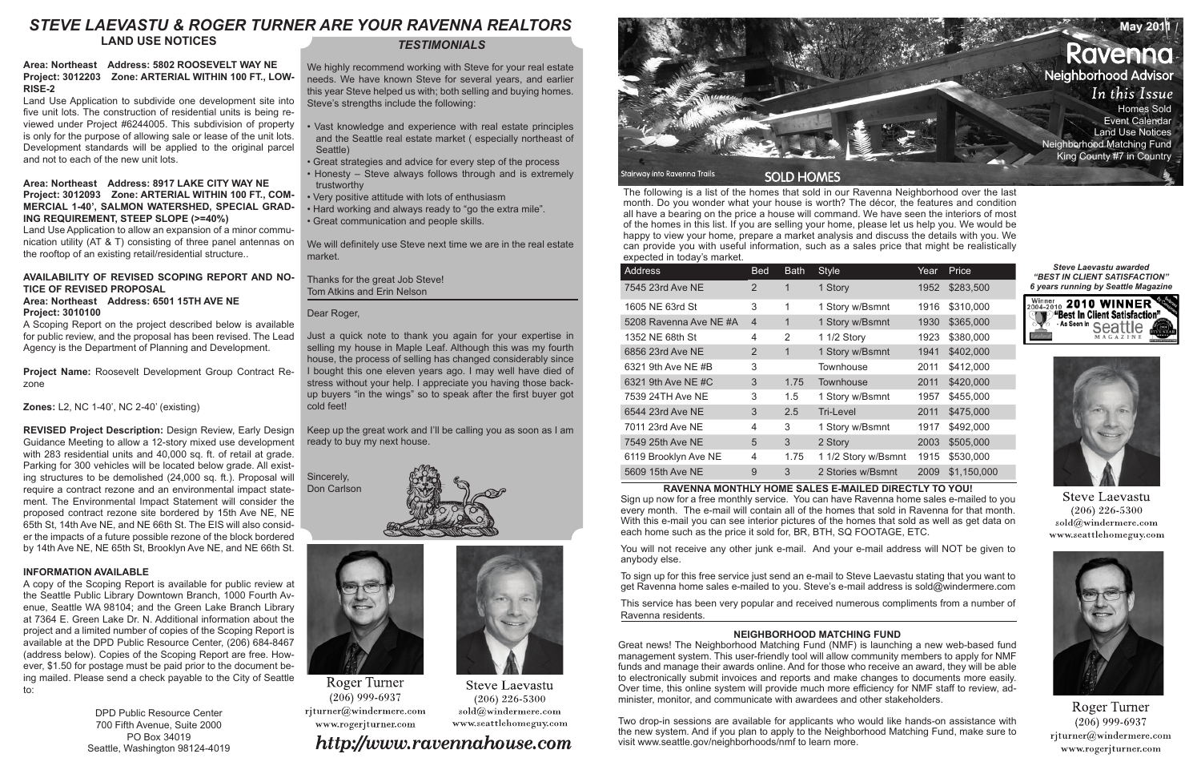The following is a list of the homes that sold in our Ravenna Neighborhood over the last month. Do you wonder what your house is worth? The décor, the features and condition all have a bearing on the price a house will command. We have seen the interiors of most of the homes in this list. If you are selling your home, please let us help you. We would be happy to view your home, prepare a market analysis and discuss the details with you. We can provide you with useful information, such as a sales price that might be realistically expected in today's market.

| Address               | <b>Bed</b>     | <b>Bath</b> | <b>Style</b>        | Year | Price       |
|-----------------------|----------------|-------------|---------------------|------|-------------|
| 7545 23rd Ave NE      | $\overline{2}$ | 1           | 1 Story             | 1952 | \$283,500   |
| 1605 NE 63rd St       | 3              | 1           | 1 Story w/Bsmnt     | 1916 | \$310,000   |
| 5208 Ravenna Ave NE#A | $\overline{4}$ | 1           | 1 Story w/Bsmnt     | 1930 | \$365,000   |
| 1352 NE 68th St       | 4              | 2           | 1 1/2 Story         | 1923 | \$380,000   |
| 6856 23rd Ave NE      | 2              | 1           | 1 Story w/Bsmnt     | 1941 | \$402,000   |
| 6321 9th Ave NE #B    | 3              |             | Townhouse           | 2011 | \$412,000   |
| 6321 9th Ave NE #C    | 3              | 1.75        | Townhouse           | 2011 | \$420,000   |
| 7539 24TH Ave NE      | 3              | 1.5         | 1 Story w/Bsmnt     | 1957 | \$455,000   |
| 6544 23rd Ave NE      | 3              | 2.5         | Tri-Level           | 2011 | \$475,000   |
| 7011 23rd Ave NE      | 4              | 3           | 1 Story w/Bsmnt     | 1917 | \$492,000   |
| 7549 25th Ave NE      | 5              | 3           | 2 Story             | 2003 | \$505,000   |
| 6119 Brooklyn Ave NE  | 4              | 1.75        | 1 1/2 Story w/Bsmnt | 1915 | \$530,000   |
| 5609 15th Ave NE      | 9              | 3           | 2 Stories w/Bsmnt   | 2009 | \$1,150,000 |

### **RAVENNA MONTHLY HOME SALES E-MAILED DIRECTLY TO YOU!**

Sign up now for a free monthly service. You can have Ravenna home sales e-mailed to you every month. The e-mail will contain all of the homes that sold in Ravenna for that month. With this e-mail you can see interior pictures of the homes that sold as well as get data on each home such as the price it sold for, BR, BTH, SQ FOOTAGE, ETC.

You will not receive any other junk e-mail. And your e-mail address will NOT be given to anybody else.

To sign up for this free service just send an e-mail to Steve Laevastu stating that you want to get Ravenna home sales e-mailed to you. Steve's e-mail address is sold@windermere.com

This service has been very popular and received numerous compliments from a number of Ravenna residents.

## *TESTIMONIALS*

We highly recommend working with Steve for your real estate needs. We have known Steve for several years, and earlier this year Steve helped us with; both selling and buying homes. Steve's strengths include the following:

- Vast knowledge and experience with real estate principles and the Seattle real estate market ( especially northeast of Seattle)
- Great strategies and advice for every step of the process
- Honesty Steve always follows through and is extremely trustworthy
- Very positive attitude with lots of enthusiasm
- Hard working and always ready to "go the extra mile". • Great communication and people skills.

We will definitely use Steve next time we are in the real estate market.

Thanks for the great Job Steve! Tom Atkins and Erin Nelson

Dear Roger,

Just a quick note to thank you again for your expertise in selling my house in Maple Leaf. Although this was my fourth house, the process of selling has changed considerably since I bought this one eleven years ago. I may well have died of stress without your help. I appreciate you having those backup buyers "in the wings" so to speak after the first buyer got cold feet!

Keep up the great work and I'll be calling you as soon as I am ready to buy my next house.

Sincerely, Don Carlson





**Roger Turner**  $(206)$  999-6937 rjturner@windermere.com www.rogerjturner.com

# http://www.ravennahouse.com



#### *Steve Laevastu awarded "BEST IN CLIENT SATISFACTION" 6 years running by Seattle Magazine*





**Steve Laevastu**  $(206)$  226-5300 sold@windermere.com www.seattlehomeguy.com



Roger Turner  $(206)$  999-6937 rjturner@windermere.com www.rogerjturner.com

# **STEVE LAEVASTU & ROGER TURNER ARE YOUR RAVENNA REALTORS**

**LAND USE NOTICES**

#### **Area: Northeast Address: 5802 ROOSEVELT WAY NE Project: 3012203 Zone: ARTERIAL WITHIN 100 FT., LOW-RISE-2**

Land Use Application to subdivide one development site into five unit lots. The construction of residential units is being reviewed under Project #6244005. This subdivision of property is only for the purpose of allowing sale or lease of the unit lots. Development standards will be applied to the original parcel and not to each of the new unit lots.

#### **Area: Northeast Address: 8917 LAKE CITY WAY NE Project: 3012093 Zone: ARTERIAL WITHIN 100 FT., COM-MERCIAL 1-40', SALMON WATERSHED, SPECIAL GRAD-ING REQUIREMENT, STEEP SLOPE (>=40%)**

Land Use Application to allow an expansion of a minor communication utility (AT & T) consisting of three panel antennas on the rooftop of an existing retail/residential structure..

### **AVAILABILITY OF REVISED SCOPING REPORT AND NO-TICE OF REVISED PROPOSAL**

#### **Area: Northeast Address: 6501 15TH AVE NE Project: 3010100**

A Scoping Report on the project described below is available for public review, and the proposal has been revised. The Lead Agency is the Department of Planning and Development.

**Project Name:** Roosevelt Development Group Contract Rezone

**Zones:** L2, NC 1-40', NC 2-40' (existing)

**REVISED Project Description:** Design Review, Early Design Guidance Meeting to allow a 12-story mixed use development with 283 residential units and 40,000 sq. ft. of retail at grade. Parking for 300 vehicles will be located below grade. All existing structures to be demolished (24,000 sq. ft.). Proposal will require a contract rezone and an environmental impact statement. The Environmental Impact Statement will consider the proposed contract rezone site bordered by 15th Ave NE, NE 65th St, 14th Ave NE, and NE 66th St. The EIS will also consider the impacts of a future possible rezone of the block bordered by 14th Ave NE, NE 65th St, Brooklyn Ave NE, and NE 66th St.

### **INFORMATION AVAILABLE**

A copy of the Scoping Report is available for public review at the Seattle Public Library Downtown Branch, 1000 Fourth Avenue, Seattle WA 98104; and the Green Lake Branch Library at 7364 E. Green Lake Dr. N. Additional information about the project and a limited number of copies of the Scoping Report is available at the DPD Public Resource Center, (206) 684-8467 (address below). Copies of the Scoping Report are free. However, \$1.50 for postage must be paid prior to the document being mailed. Please send a check payable to the City of Seattle to:

> DPD Public Resource Center 700 Fifth Avenue, Suite 2000 PO Box 34019 Seattle, Washington 98124-4019

### **NEIGHBORHOOD MATCHING FUND**

Great news! The Neighborhood Matching Fund (NMF) is launching a new web-based fund management system. This user-friendly tool will allow community members to apply for NMF funds and manage their awards online. And for those who receive an award, they will be able to electronically submit invoices and reports and make changes to documents more easily. Over time, this online system will provide much more efficiency for NMF staff to review, administer, monitor, and communicate with awardees and other stakeholders.

Two drop-in sessions are available for applicants who would like hands-on assistance with the new system. And if you plan to apply to the Neighborhood Matching Fund, make sure to visit www.seattle.gov/neighborhoods/nmf to learn more.



**Steve Laevastu**  $(206)$  226-5300 sold@windermere.com www.seattlehomeguy.com